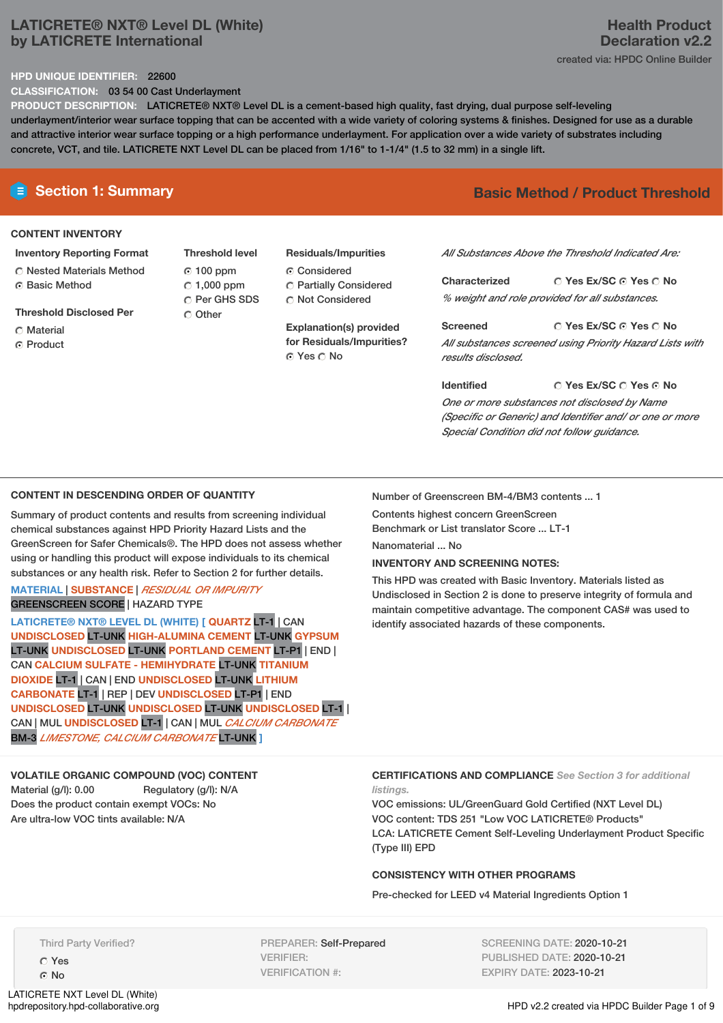## **LATICRETE® NXT® Level DL (White) by LATICRETE International**

## **Health Product Declaration v2.2** created via: HPDC Online Builder

#### **HPD UNIQUE IDENTIFIER:** 22600

**CLASSIFICATION:** 03 54 00 Cast Underlayment

**PRODUCT DESCRIPTION:** LATICRETE® NXT® Level DL is a cement-based high quality, fast drying, dual purpose self-leveling underlayment/interior wear surface topping that can be accented with a wide variety of coloring systems & finishes. Designed for use as a durable and attractive interior wear surface topping or a high performance underlayment. For application over a wide variety of substrates including concrete, VCT, and tile. LATICRETE NXT Level DL can be placed from 1/16" to 1-1/4" (1.5 to 32 mm) in a single lift.

#### **CONTENT INVENTORY**

- **Inventory Reporting Format** Nested Materials Method
- **G** Basic Method
- **Threshold Disclosed Per**
- Material
- **C** Product

**Threshold level** 100 ppm  $\degree$  1,000 ppm C Per GHS SDS Other

**Residuals/Impurities** Considered Partially Considered  $\bigcirc$  Not Considered

**Explanation(s) provided for Residuals/Impurities?** Yes No

# **E** Section 1: Summary **Basic Method /** Product Threshold

*All Substances Above the Threshold Indicated Are:*

**Yes Ex/SC Yes No Characterized** *% weight and role provided for all substances.*

**Yes Ex/SC Yes No Screened** *All substances screened using Priority Hazard Lists with results disclosed.*

**Yes Ex/SC Yes No Identified** *One or more substances not disclosed by Name (Specific or Generic) and Identifier and/ or one or more Special Condition did not follow guidance.*

#### **CONTENT IN DESCENDING ORDER OF QUANTITY**

Summary of product contents and results from screening individual chemical substances against HPD Priority Hazard Lists and the GreenScreen for Safer Chemicals®. The HPD does not assess whether using or handling this product will expose individuals to its chemical substances or any health risk. Refer to Section 2 for further details.

### **MATERIAL** | **SUBSTANCE** | *RESIDUAL OR IMPURITY* GREENSCREEN SCORE | HAZARD TYPE

**LATICRETE® NXT® LEVEL DL (WHITE) [ QUARTZ** LT-1 | CAN **UNDISCLOSED** LT-UNK **HIGH-ALUMINA CEMENT** LT-UNK **GYPSUM** LT-UNK **UNDISCLOSED** LT-UNK **PORTLAND CEMENT** LT-P1 | END | CAN **CALCIUM SULFATE - HEMIHYDRATE** LT-UNK **TITANIUM DIOXIDE** LT-1 | CAN | END **UNDISCLOSED** LT-UNK **LITHIUM CARBONATE** LT-1 | REP | DEV **UNDISCLOSED** LT-P1 | END **UNDISCLOSED** LT-UNK **UNDISCLOSED** LT-UNK **UNDISCLOSED** LT-1 | CAN | MUL **UNDISCLOSED** LT-1 | CAN | MUL *CALCIUM CARBONATE* BM-3 *LIMESTONE, CALCIUM CARBONATE* LT-UNK **]**

# **VOLATILE ORGANIC COMPOUND (VOC) CONTENT**

Material (g/l): 0.00 Regulatory (g/l): N/A Does the product contain exempt VOCs: No Are ultra-low VOC tints available: N/A

Number of Greenscreen BM-4/BM3 contents ... 1

Contents highest concern GreenScreen Benchmark or List translator Score ... LT-1

Nanomaterial No

#### **INVENTORY AND SCREENING NOTES:**

This HPD was created with Basic Inventory. Materials listed as Undisclosed in Section 2 is done to preserve integrity of formula and maintain competitive advantage. The component CAS# was used to identify associated hazards of these components.

**CERTIFICATIONS AND COMPLIANCE** *See Section 3 for additional listings.*

VOC emissions: UL/GreenGuard Gold Certified (NXT Level DL) VOC content: TDS 251 "Low VOC LATICRETE® Products" LCA: LATICRETE Cement Self-Leveling Underlayment Product Specific (Type III) EPD

#### **CONSISTENCY WITH OTHER PROGRAMS**

Pre-checked for LEED v4 Material Ingredients Option 1

Third Party Verified?

Yes No

LATICRETE NXT Level DL (White)<br>hpdrepository.hpd-collaborative.org

PREPARER: Self-Prepared VERIFIER: VERIFICATION #:

SCREENING DATE: 2020-10-21 PUBLISHED DATE: 2020-10-21 EXPIRY DATE: 2023-10-21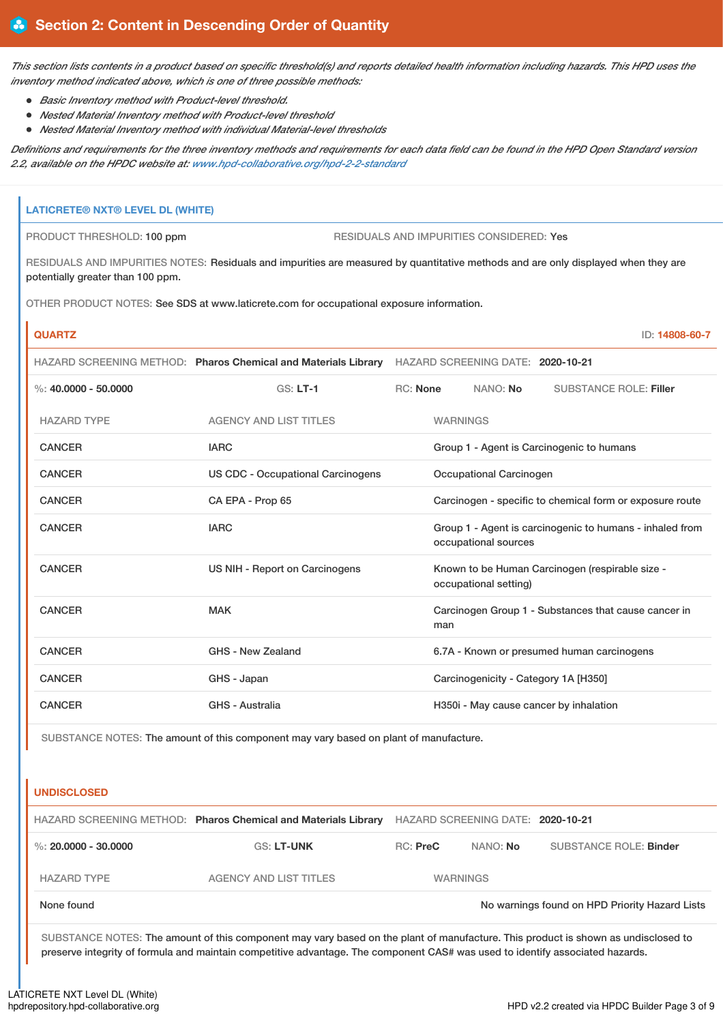This section lists contents in a product based on specific threshold(s) and reports detailed health information including hazards. This HPD uses the *inventory method indicated above, which is one of three possible methods:*

- *Basic Inventory method with Product-level threshold.*
- *Nested Material Inventory method with Product-level threshold*
- *Nested Material Inventory method with individual Material-level thresholds*

Definitions and requirements for the three inventory methods and requirements for each data field can be found in the HPD Open Standard version *2.2, available on the HPDC website at: [www.hpd-collaborative.org/hpd-2-2-standard](https://www.hpd-collaborative.org/hpd-2-2-standard)*

# **LATICRETE® NXT® LEVEL DL (WHITE)** PRODUCT THRESHOLD: 100 ppm RESIDUALS AND IMPURITIES CONSIDERED: Yes RESIDUALS AND IMPURITIES NOTES: Residuals and impurities are measured by quantitative methods and are only displayed when they are potentially greater than 100 ppm. OTHER PRODUCT NOTES: See SDS at www.laticrete.com for occupational exposure information. **QUARTZ** ID: **14808-60-7** HAZARD SCREENING METHOD: **Pharos Chemical and Materials Library** HAZARD SCREENING DATE: **2020-10-21** %: **40.0000 - 50.0000** GS: **LT-1** RC: **None** NANO: **No** SUBSTANCE ROLE: **Filler** HAZARD TYPE AGENCY AND LIST TITLES WARNINGS CANCER **IARC** IARC **GROUP 1** - Agent is Carcinogenic to humans CANCER US CDC - Occupational Carcinogens Occupational Carcinogen CANCER CA EPA - Prop 65 Carcinogen - specific to chemical form or exposure route CANCER **IARC** IARC **GROUP 1** - Agent is carcinogenic to humans - inhaled from occupational sources CANCER **EXAMCER** US NIH - Report on Carcinogens Known to be Human Carcinogen (respirable size occupational setting) CANCER MAK MAK Carcinogen Group 1 - Substances that cause cancer in man CANCER GHS - New Zealand 6.7A - Known or presumed human carcinogens CANCER GHS - Japan Carcinogenicity - Category 1A [H350] CANCER GHS - Australia GHS - Australia H350i - May cause cancer by inhalation

SUBSTANCE NOTES: The amount of this component may vary based on plant of manufacture.

#### **UNDISCLOSED**

|                      | HAZARD SCREENING METHOD: Pharos Chemical and Materials Library |               | HAZARD SCREENING DATE: 2020-10-21 |                                                |
|----------------------|----------------------------------------------------------------|---------------|-----------------------------------|------------------------------------------------|
| %: 20,0000 - 30,0000 | <b>GS: LT-UNK</b>                                              | $RC:$ Pre $C$ | NANO: No                          | SUBSTANCE ROLE: Binder                         |
| <b>HAZARD TYPE</b>   | <b>AGENCY AND LIST TITLES</b>                                  |               | <b>WARNINGS</b>                   |                                                |
| None found           |                                                                |               |                                   | No warnings found on HPD Priority Hazard Lists |

SUBSTANCE NOTES: The amount of this component may vary based on the plant of manufacture. This product is shown as undisclosed to preserve integrity of formula and maintain competitive advantage. The component CAS# was used to identify associated hazards.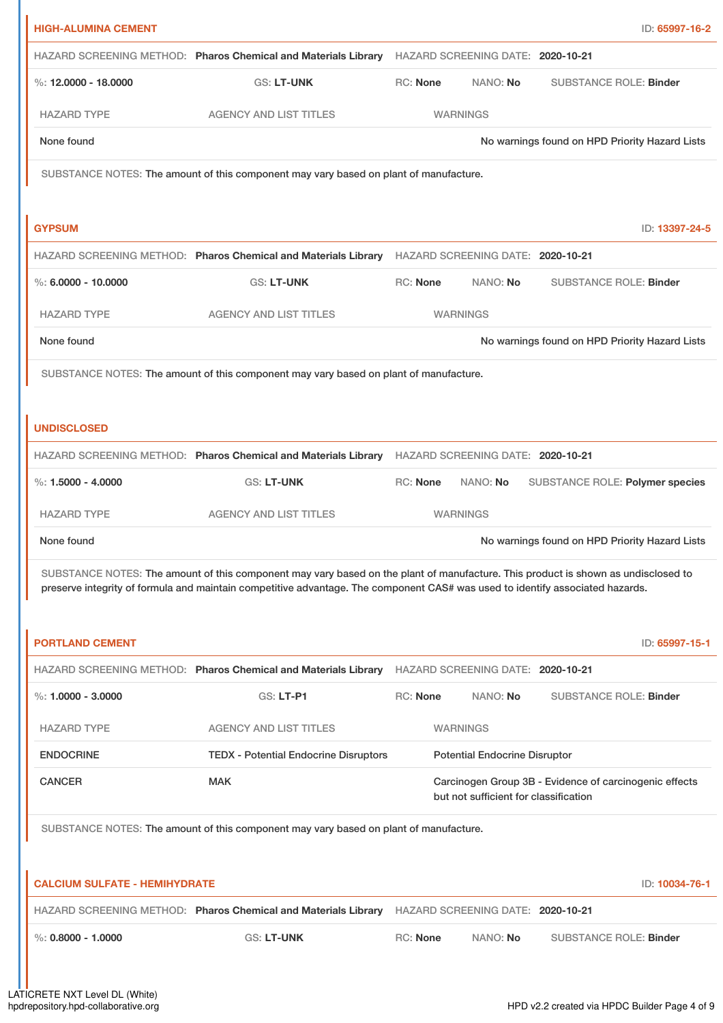| <b>HIGH-ALUMINA CEMENT</b>           |                                                                                                                                                                                                                                                                    |                 |                                       | ID: 65997-16-2                                         |
|--------------------------------------|--------------------------------------------------------------------------------------------------------------------------------------------------------------------------------------------------------------------------------------------------------------------|-----------------|---------------------------------------|--------------------------------------------------------|
|                                      | HAZARD SCREENING METHOD: Pharos Chemical and Materials Library HAZARD SCREENING DATE: 2020-10-21                                                                                                                                                                   |                 |                                       |                                                        |
| %: 12,0000 - 18,0000                 | <b>GS: LT-UNK</b>                                                                                                                                                                                                                                                  | RC: None        | NANO: No                              | <b>SUBSTANCE ROLE: Binder</b>                          |
| <b>HAZARD TYPE</b>                   | <b>AGENCY AND LIST TITLES</b>                                                                                                                                                                                                                                      |                 | <b>WARNINGS</b>                       |                                                        |
| None found                           |                                                                                                                                                                                                                                                                    |                 |                                       | No warnings found on HPD Priority Hazard Lists         |
|                                      | SUBSTANCE NOTES: The amount of this component may vary based on plant of manufacture.                                                                                                                                                                              |                 |                                       |                                                        |
|                                      |                                                                                                                                                                                                                                                                    |                 |                                       |                                                        |
| <b>GYPSUM</b>                        |                                                                                                                                                                                                                                                                    |                 |                                       | ID: 13397-24-5                                         |
|                                      | HAZARD SCREENING METHOD: Pharos Chemical and Materials Library HAZARD SCREENING DATE: 2020-10-21                                                                                                                                                                   |                 |                                       |                                                        |
| $\%$ : 6.0000 - 10.0000              | <b>GS: LT-UNK</b>                                                                                                                                                                                                                                                  | RC: None        | NANO: No                              | <b>SUBSTANCE ROLE: Binder</b>                          |
| <b>HAZARD TYPE</b>                   | <b>AGENCY AND LIST TITLES</b>                                                                                                                                                                                                                                      |                 | <b>WARNINGS</b>                       |                                                        |
| None found                           |                                                                                                                                                                                                                                                                    |                 |                                       | No warnings found on HPD Priority Hazard Lists         |
|                                      | SUBSTANCE NOTES: The amount of this component may vary based on plant of manufacture.                                                                                                                                                                              |                 |                                       |                                                        |
|                                      |                                                                                                                                                                                                                                                                    |                 |                                       |                                                        |
| <b>UNDISCLOSED</b>                   |                                                                                                                                                                                                                                                                    |                 |                                       |                                                        |
|                                      | HAZARD SCREENING METHOD: Pharos Chemical and Materials Library                                                                                                                                                                                                     |                 | HAZARD SCREENING DATE: 2020-10-21     |                                                        |
| %: $1.5000 - 4.0000$                 | <b>GS: LT-UNK</b>                                                                                                                                                                                                                                                  | <b>RC: None</b> | NANO: No                              | SUBSTANCE ROLE: Polymer species                        |
| <b>HAZARD TYPE</b>                   | <b>AGENCY AND LIST TITLES</b>                                                                                                                                                                                                                                      |                 | <b>WARNINGS</b>                       |                                                        |
| None found                           |                                                                                                                                                                                                                                                                    |                 |                                       | No warnings found on HPD Priority Hazard Lists         |
|                                      | SUBSTANCE NOTES: The amount of this component may vary based on the plant of manufacture. This product is shown as undisclosed to<br>preserve integrity of formula and maintain competitive advantage. The component CAS# was used to identify associated hazards. |                 |                                       |                                                        |
|                                      |                                                                                                                                                                                                                                                                    |                 |                                       |                                                        |
| <b>PORTLAND CEMENT</b>               |                                                                                                                                                                                                                                                                    |                 |                                       | ID: 65997-15-1                                         |
|                                      | HAZARD SCREENING METHOD: Pharos Chemical and Materials Library                                                                                                                                                                                                     |                 | HAZARD SCREENING DATE: 2020-10-21     |                                                        |
| %: $1.0000 - 3.0000$                 | GS: LT-P1                                                                                                                                                                                                                                                          | <b>RC: None</b> | NANO: No                              | <b>SUBSTANCE ROLE: Binder</b>                          |
| <b>HAZARD TYPE</b>                   | <b>AGENCY AND LIST TITLES</b>                                                                                                                                                                                                                                      |                 | <b>WARNINGS</b>                       |                                                        |
| <b>ENDOCRINE</b>                     | <b>TEDX - Potential Endocrine Disruptors</b>                                                                                                                                                                                                                       |                 | <b>Potential Endocrine Disruptor</b>  |                                                        |
| <b>CANCER</b>                        | <b>MAK</b>                                                                                                                                                                                                                                                         |                 | but not sufficient for classification | Carcinogen Group 3B - Evidence of carcinogenic effects |
|                                      | SUBSTANCE NOTES: The amount of this component may vary based on plant of manufacture.                                                                                                                                                                              |                 |                                       |                                                        |
|                                      |                                                                                                                                                                                                                                                                    |                 |                                       |                                                        |
| <b>CALCIUM SULFATE - HEMIHYDRATE</b> |                                                                                                                                                                                                                                                                    |                 |                                       | ID: 10034-76-1                                         |
|                                      | HAZARD SCREENING METHOD: Pharos Chemical and Materials Library                                                                                                                                                                                                     |                 | HAZARD SCREENING DATE: 2020-10-21     |                                                        |
| $\%$ : 0.8000 - 1.0000               | <b>GS: LT-UNK</b>                                                                                                                                                                                                                                                  | <b>RC: None</b> | NANO: No                              | <b>SUBSTANCE ROLE: Binder</b>                          |
|                                      |                                                                                                                                                                                                                                                                    |                 |                                       |                                                        |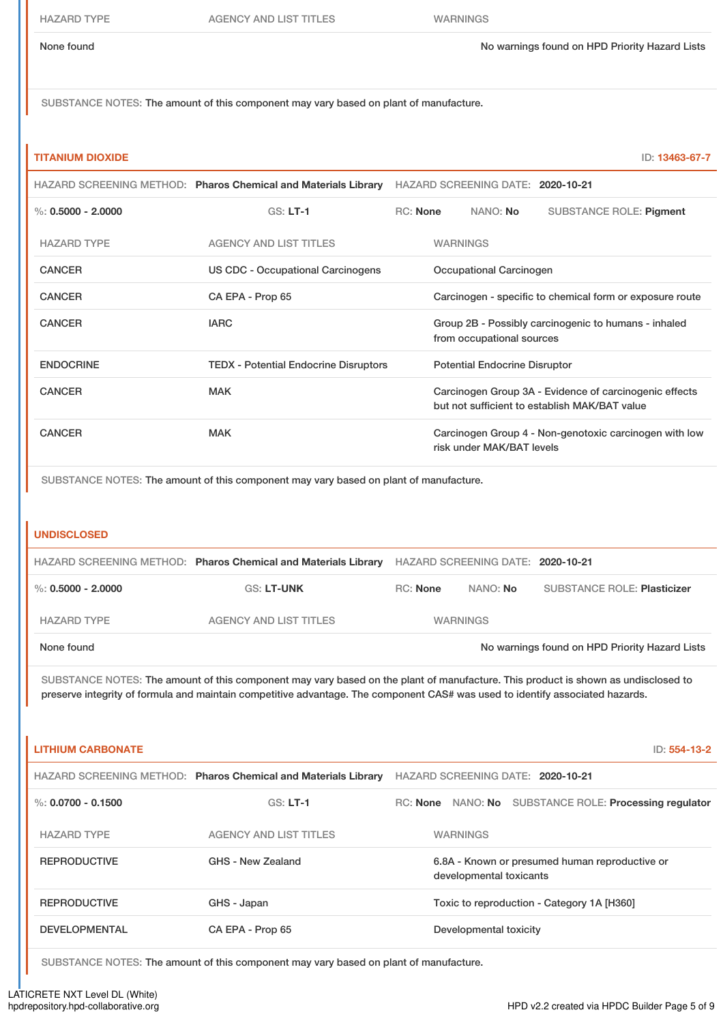HAZARD TYPE AGENCY AND LIST TITLES WARNINGS

None found Now arrings found on HPD Priority Hazard Lists

SUBSTANCE NOTES: The amount of this component may vary based on plant of manufacture.

#### **TITANIUM DIOXIDE** ID: **13463-67-7**

|                                                                                       | HAZARD SCREENING METHOD: Pharos Chemical and Materials Library | HAZARD SCREENING DATE: 2020-10-21                                                                       |                 |                           |                                                        |
|---------------------------------------------------------------------------------------|----------------------------------------------------------------|---------------------------------------------------------------------------------------------------------|-----------------|---------------------------|--------------------------------------------------------|
| %: $0.5000 - 2.0000$                                                                  | $GS: LT-1$                                                     | <b>RC:</b> None<br>NANO: No                                                                             |                 |                           | <b>SUBSTANCE ROLE: Pigment</b>                         |
| <b>HAZARD TYPE</b>                                                                    | <b>AGENCY AND LIST TITLES</b>                                  |                                                                                                         | <b>WARNINGS</b> |                           |                                                        |
| <b>CANCER</b>                                                                         | <b>US CDC - Occupational Carcinogens</b>                       | Occupational Carcinogen                                                                                 |                 |                           |                                                        |
| <b>CANCER</b>                                                                         | CA EPA - Prop 65                                               | Carcinogen - specific to chemical form or exposure route                                                |                 |                           |                                                        |
| <b>CANCER</b>                                                                         | <b>IARC</b>                                                    | Group 2B - Possibly carcinogenic to humans - inhaled<br>from occupational sources                       |                 |                           |                                                        |
| <b>ENDOCRINE</b>                                                                      | <b>TEDX</b> - Potential Endocrine Disruptors                   | <b>Potential Endocrine Disruptor</b>                                                                    |                 |                           |                                                        |
| <b>CANCER</b>                                                                         | <b>MAK</b>                                                     | Carcinogen Group 3A - Evidence of carcinogenic effects<br>but not sufficient to establish MAK/BAT value |                 |                           |                                                        |
| <b>CANCER</b>                                                                         | <b>MAK</b>                                                     |                                                                                                         |                 | risk under MAK/BAT levels | Carcinogen Group 4 - Non-genotoxic carcinogen with low |
| SUBSTANCE NOTES: The amount of this component may vary based on plant of manufacture. |                                                                |                                                                                                         |                 |                           |                                                        |

#### **UNDISCLOSED**

|                      | HAZARD SCREENING METHOD: Pharos Chemical and Materials Library HAZARD SCREENING DATE: 2020-10-21 |                 |                 |                                                |
|----------------------|--------------------------------------------------------------------------------------------------|-----------------|-----------------|------------------------------------------------|
| %: $0.5000 - 2.0000$ | GS: LT-UNK                                                                                       | RC: None        | NANO: <b>No</b> | <b>SUBSTANCE ROLE: Plasticizer</b>             |
| <b>HAZARD TYPE</b>   | <b>AGENCY AND LIST TITLES</b>                                                                    | <b>WARNINGS</b> |                 |                                                |
| None found           |                                                                                                  |                 |                 | No warnings found on HPD Priority Hazard Lists |

SUBSTANCE NOTES: The amount of this component may vary based on the plant of manufacture. This product is shown as undisclosed to preserve integrity of formula and maintain competitive advantage. The component CAS# was used to identify associated hazards.

| <b>LITHIUM CARBONATE</b> |                                                                | $ID: 554-13-2$                                                            |
|--------------------------|----------------------------------------------------------------|---------------------------------------------------------------------------|
|                          | HAZARD SCREENING METHOD: Pharos Chemical and Materials Library | HAZARD SCREENING DATE: 2020-10-21                                         |
| %: $0.0700 - 0.1500$     | $GS: LT-1$                                                     | RC: None NANO: No SUBSTANCE ROLE: Processing regulator                    |
| <b>HAZARD TYPE</b>       | AGENCY AND LIST TITLES                                         | <b>WARNINGS</b>                                                           |
| <b>REPRODUCTIVE</b>      | GHS - New Zealand                                              | 6.8A - Known or presumed human reproductive or<br>developmental toxicants |
| <b>REPRODUCTIVE</b>      | GHS - Japan                                                    | Toxic to reproduction - Category 1A [H360]                                |
| <b>DEVELOPMENTAL</b>     | CA EPA - Prop 65                                               | Developmental toxicity                                                    |

SUBSTANCE NOTES: The amount of this component may vary based on plant of manufacture.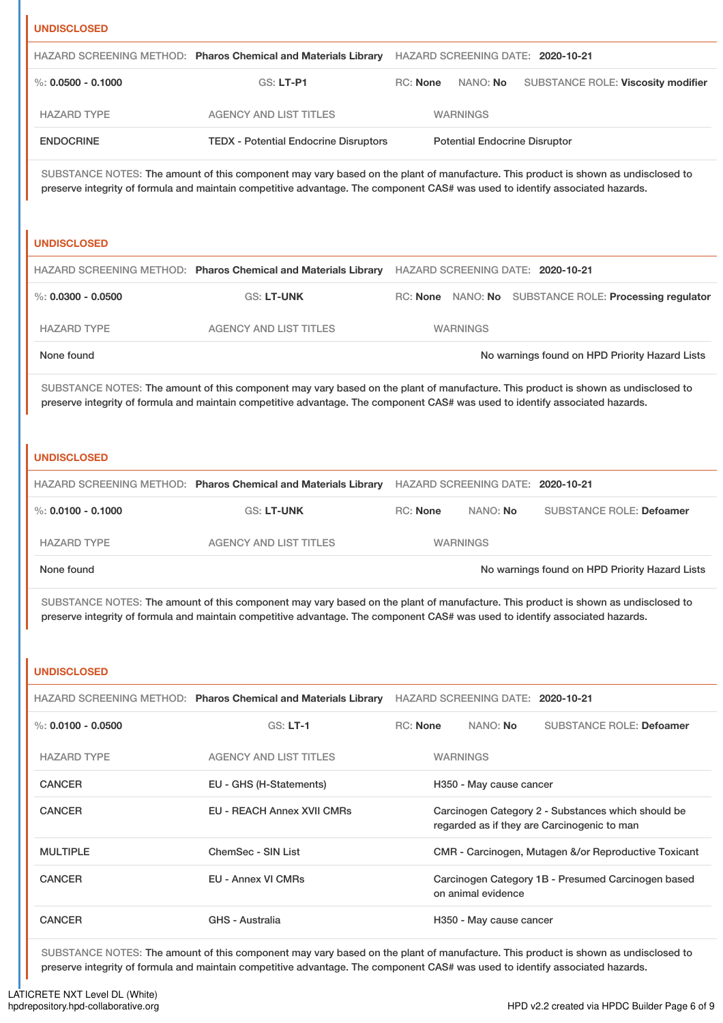| <b>UNDISCLOSED</b>     |                                                                                                                                                                                                                                                                    |                 |                                      |                                                                                                   |
|------------------------|--------------------------------------------------------------------------------------------------------------------------------------------------------------------------------------------------------------------------------------------------------------------|-----------------|--------------------------------------|---------------------------------------------------------------------------------------------------|
|                        | HAZARD SCREENING METHOD: Pharos Chemical and Materials Library HAZARD SCREENING DATE: 2020-10-21                                                                                                                                                                   |                 |                                      |                                                                                                   |
| $\%$ : 0.0500 - 0.1000 | <b>GS: LT-P1</b>                                                                                                                                                                                                                                                   | <b>RC: None</b> | NANO: No                             | SUBSTANCE ROLE: Viscosity modifier                                                                |
| <b>HAZARD TYPE</b>     | <b>AGENCY AND LIST TITLES</b>                                                                                                                                                                                                                                      |                 | <b>WARNINGS</b>                      |                                                                                                   |
| <b>ENDOCRINE</b>       | <b>TEDX - Potential Endocrine Disruptors</b>                                                                                                                                                                                                                       |                 | <b>Potential Endocrine Disruptor</b> |                                                                                                   |
|                        | SUBSTANCE NOTES: The amount of this component may vary based on the plant of manufacture. This product is shown as undisclosed to<br>preserve integrity of formula and maintain competitive advantage. The component CAS# was used to identify associated hazards. |                 |                                      |                                                                                                   |
| <b>UNDISCLOSED</b>     |                                                                                                                                                                                                                                                                    |                 |                                      |                                                                                                   |
|                        | HAZARD SCREENING METHOD: Pharos Chemical and Materials Library HAZARD SCREENING DATE: 2020-10-21                                                                                                                                                                   |                 |                                      |                                                                                                   |
| $\%$ : 0.0300 - 0.0500 | GS: LT-UNK                                                                                                                                                                                                                                                         |                 |                                      | RC: None NANO: No SUBSTANCE ROLE: Processing regulator                                            |
| <b>HAZARD TYPE</b>     | <b>AGENCY AND LIST TITLES</b>                                                                                                                                                                                                                                      |                 | <b>WARNINGS</b>                      |                                                                                                   |
| None found             |                                                                                                                                                                                                                                                                    |                 |                                      | No warnings found on HPD Priority Hazard Lists                                                    |
| <b>UNDISCLOSED</b>     | SUBSTANCE NOTES: The amount of this component may vary based on the plant of manufacture. This product is shown as undisclosed to<br>preserve integrity of formula and maintain competitive advantage. The component CAS# was used to identify associated hazards. |                 |                                      |                                                                                                   |
|                        | HAZARD SCREENING METHOD: Pharos Chemical and Materials Library HAZARD SCREENING DATE: 2020-10-21                                                                                                                                                                   |                 |                                      |                                                                                                   |
| %: $0.0100 - 0.1000$   | GS: LT-UNK                                                                                                                                                                                                                                                         | RC: None        | NANO: No                             | <b>SUBSTANCE ROLE: Defoamer</b>                                                                   |
| <b>HAZARD TYPE</b>     | <b>AGENCY AND LIST TITLES</b>                                                                                                                                                                                                                                      |                 | <b>WARNINGS</b>                      |                                                                                                   |
| None found             |                                                                                                                                                                                                                                                                    |                 |                                      | No warnings found on HPD Priority Hazard Lists                                                    |
|                        | SUBSTANCE NOTES: The amount of this component may vary based on the plant of manufacture. This product is shown as undisclosed to<br>preserve integrity of formula and maintain competitive advantage. The component CAS# was used to identify associated hazards. |                 |                                      |                                                                                                   |
|                        |                                                                                                                                                                                                                                                                    |                 |                                      |                                                                                                   |
| <b>UNDISCLOSED</b>     |                                                                                                                                                                                                                                                                    |                 |                                      |                                                                                                   |
|                        | HAZARD SCREENING METHOD: Pharos Chemical and Materials Library                                                                                                                                                                                                     |                 |                                      | HAZARD SCREENING DATE: 2020-10-21                                                                 |
| $\%$ : 0.0100 - 0.0500 | <b>GS: LT-1</b>                                                                                                                                                                                                                                                    | <b>RC: None</b> | NANO: No                             | <b>SUBSTANCE ROLE: Defoamer</b>                                                                   |
| <b>HAZARD TYPE</b>     | <b>AGENCY AND LIST TITLES</b>                                                                                                                                                                                                                                      |                 | <b>WARNINGS</b>                      |                                                                                                   |
| <b>CANCER</b>          | EU - GHS (H-Statements)                                                                                                                                                                                                                                            |                 | H350 - May cause cancer              |                                                                                                   |
| <b>CANCER</b>          | <b>EU - REACH Annex XVII CMRs</b>                                                                                                                                                                                                                                  |                 |                                      | Carcinogen Category 2 - Substances which should be<br>regarded as if they are Carcinogenic to man |
| <b>MULTIPLE</b>        | <b>ChemSec - SIN List</b>                                                                                                                                                                                                                                          |                 |                                      | CMR - Carcinogen, Mutagen &/or Reproductive Toxicant                                              |

SUBSTANCE NOTES: The amount of this component may vary based on the plant of manufacture. This product is shown as undisclosed to preserve integrity of formula and maintain competitive advantage. The component CAS# was used to identify associated hazards.

CANCER GHS - Australia H350 - May cause cancer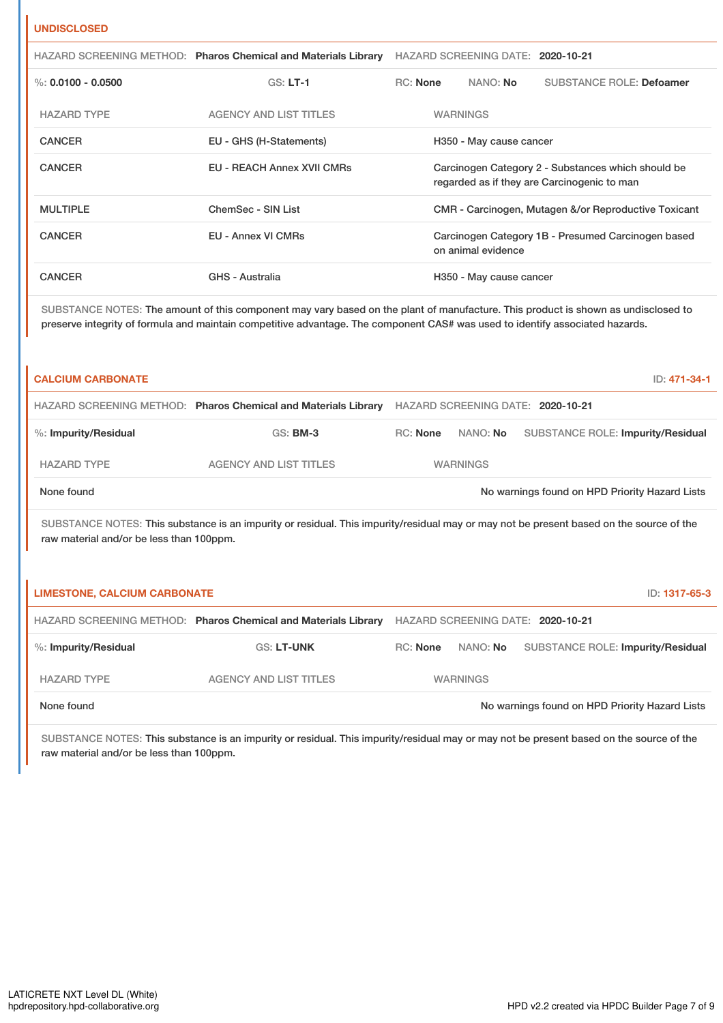### **UNDISCLOSED**

|                      | HAZARD SCREENING METHOD: Pharos Chemical and Materials Library | HAZARD SCREENING DATE: 2020-10-21                                                                 |  |                         |                                 |
|----------------------|----------------------------------------------------------------|---------------------------------------------------------------------------------------------------|--|-------------------------|---------------------------------|
| %: $0.0100 - 0.0500$ | $GS: LT-1$                                                     | RC: None                                                                                          |  | NANO: No                | <b>SUBSTANCE ROLE: Defoamer</b> |
| <b>HAZARD TYPE</b>   | AGENCY AND LIST TITLES                                         |                                                                                                   |  | <b>WARNINGS</b>         |                                 |
| <b>CANCER</b>        | EU - GHS (H-Statements)                                        | H350 - May cause cancer                                                                           |  |                         |                                 |
| <b>CANCER</b>        | <b>EU - REACH Annex XVII CMRs</b>                              | Carcinogen Category 2 - Substances which should be<br>regarded as if they are Carcinogenic to man |  |                         |                                 |
| <b>MULTIPLE</b>      | ChemSec - SIN List                                             | CMR - Carcinogen, Mutagen &/or Reproductive Toxicant                                              |  |                         |                                 |
| <b>CANCER</b>        | <b>EU - Annex VI CMRs</b>                                      | Carcinogen Category 1B - Presumed Carcinogen based<br>on animal evidence                          |  |                         |                                 |
| <b>CANCER</b>        | <b>GHS - Australia</b>                                         |                                                                                                   |  | H350 - May cause cancer |                                 |

SUBSTANCE NOTES: The amount of this component may vary based on the plant of manufacture. This product is shown as undisclosed to preserve integrity of formula and maintain competitive advantage. The component CAS# was used to identify associated hazards.

| <b>CALCIUM CARBONATE</b>                                                                                                                                                            |                                                                |          |                 |                                                | ID: 471-34-1  |
|-------------------------------------------------------------------------------------------------------------------------------------------------------------------------------------|----------------------------------------------------------------|----------|-----------------|------------------------------------------------|---------------|
|                                                                                                                                                                                     | HAZARD SCREENING METHOD: Pharos Chemical and Materials Library |          |                 | HAZARD SCREENING DATE: 2020-10-21              |               |
| %: Impurity/Residual                                                                                                                                                                | <b>GS: BM-3</b>                                                | RC: None | NANO: No        | <b>SUBSTANCE ROLE: Impurity/Residual</b>       |               |
| <b>HAZARD TYPE</b>                                                                                                                                                                  | <b>AGENCY AND LIST TITLES</b>                                  |          | <b>WARNINGS</b> |                                                |               |
| None found                                                                                                                                                                          |                                                                |          |                 | No warnings found on HPD Priority Hazard Lists |               |
| SUBSTANCE NOTES: This substance is an impurity or residual. This impurity/residual may or may not be present based on the source of the<br>raw material and/or be less than 100ppm. |                                                                |          |                 |                                                |               |
| <b>LIMESTONE, CALCIUM CARBONATE</b>                                                                                                                                                 |                                                                |          |                 |                                                | ID: 1317-65-3 |
|                                                                                                                                                                                     | HAZARD SCREENING METHOD: Pharos Chemical and Materials Library |          |                 | HAZARD SCREENING DATE: 2020-10-21              |               |
| %: Impurity/Residual                                                                                                                                                                | <b>GS: LT-UNK</b>                                              | RC: None | NANO: No        | <b>SUBSTANCE ROLE: Impurity/Residual</b>       |               |
| <b>HAZARD TYPE</b>                                                                                                                                                                  | <b>AGENCY AND LIST TITLES</b>                                  |          | <b>WARNINGS</b> |                                                |               |
| None found                                                                                                                                                                          |                                                                |          |                 | No warnings found on HPD Priority Hazard Lists |               |

SUBSTANCE NOTES: This substance is an impurity or residual. This impurity/residual may or may not be present based on the source of the raw material and/or be less than 100ppm.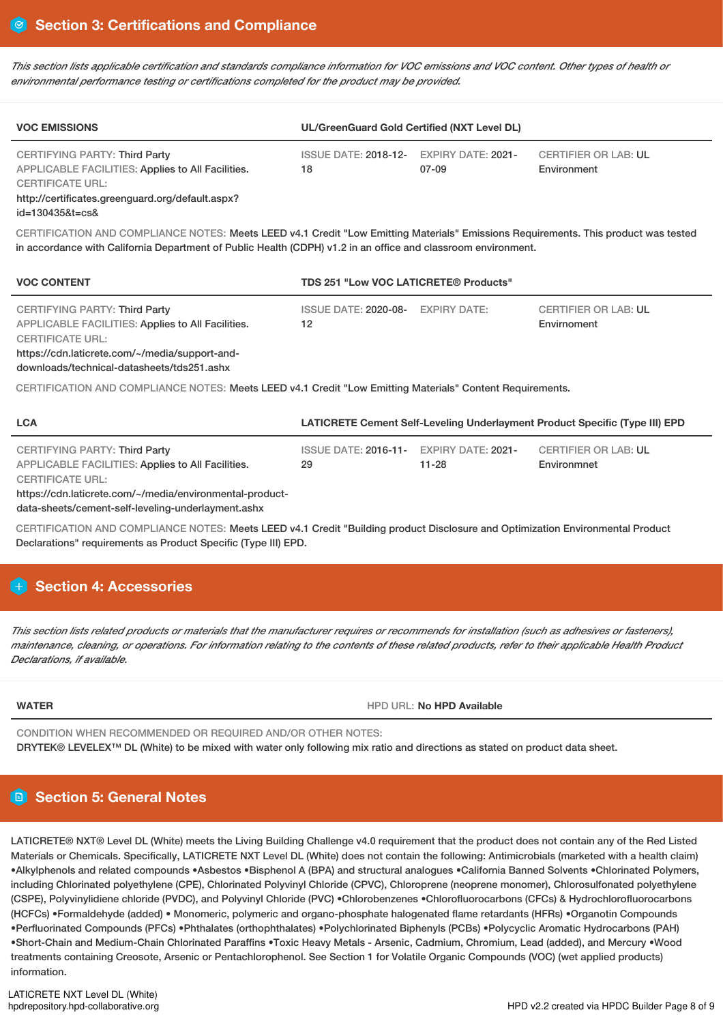This section lists applicable certification and standards compliance information for VOC emissions and VOC content. Other types of health or *environmental performance testing or certifications completed for the product may be provided.*

| <b>VOC EMISSIONS</b>                                                                                                                   | UL/GreenGuard Gold Certified (NXT Level DL)   |       |                                            |  |  |  |
|----------------------------------------------------------------------------------------------------------------------------------------|-----------------------------------------------|-------|--------------------------------------------|--|--|--|
| <b>CERTIFYING PARTY: Third Party</b><br>APPLICABLE FACILITIES: Applies to All Facilities.<br><b>CERTIFICATE URL:</b><br>$\blacksquare$ | ISSUE DATE: 2018-12- EXPIRY DATE: 2021-<br>18 | 07-09 | <b>CERTIFIER OR LAB: UL</b><br>Environment |  |  |  |

http://certificates.greenguard.org/default.aspx? id=130435&t=cs&

CERTIFICATION AND COMPLIANCE NOTES: Meets LEED v4.1 Credit "Low Emitting Materials" Emissions Requirements. This product was tested in accordance with California Department of Public Health (CDPH) v1.2 in an office and classroom environment.

| <b>VOC CONTENT</b>                                                                                                                                                                                                   | <b>TDS 251 "Low VOC LATICRETE® Products"</b> |                                            |  |  |  |
|----------------------------------------------------------------------------------------------------------------------------------------------------------------------------------------------------------------------|----------------------------------------------|--------------------------------------------|--|--|--|
| <b>CERTIFYING PARTY: Third Party</b><br>APPLICABLE FACILITIES: Applies to All Facilities.<br><b>CERTIFICATE URL:</b><br>https://cdn.laticrete.com/~/media/support-and-<br>downloads/technical-datasheets/tds251.ashx | ISSUE DATE: 2020-08- EXPIRY DATE:<br>12      | <b>CERTIFIER OR LAB: UL</b><br>Envirnoment |  |  |  |

CERTIFICATION AND COMPLIANCE NOTES: Meets LEED v4.1 Credit "Low Emitting Materials" Content Requirements.

| <b>LCA</b>                                                                                                                                                                                                                             | LATICRETE Cement Self-Leveling Underlayment Product Specific (Type III) EPD |           |                                            |  |  |  |
|----------------------------------------------------------------------------------------------------------------------------------------------------------------------------------------------------------------------------------------|-----------------------------------------------------------------------------|-----------|--------------------------------------------|--|--|--|
| <b>CERTIFYING PARTY: Third Party</b><br>APPLICABLE FACILITIES: Applies to All Facilities.<br><b>CERTIFICATE URL:</b><br>https://cdn.laticrete.com/~/media/environmental-product-<br>data-sheets/cement-self-leveling-underlayment.ashx | ISSUE DATE: 2016-11- EXPIRY DATE: 2021-<br>29                               | $11 - 28$ | <b>CERTIFIER OR LAB: UL</b><br>Environmnet |  |  |  |

CERTIFICATION AND COMPLIANCE NOTES: Meets LEED v4.1 Credit "Building product Disclosure and Optimization Environmental Product Declarations" requirements as Product Specific (Type III) EPD.

# **H** Section 4: Accessories

This section lists related products or materials that the manufacturer requires or recommends for installation (such as adhesives or fasteners), maintenance, cleaning, or operations. For information relating to the contents of these related products, refer to their applicable Health Product *Declarations, if available.*

**WATER HPD** URL: **No HPD** URL: **No HPD Available** 

CONDITION WHEN RECOMMENDED OR REQUIRED AND/OR OTHER NOTES: DRYTEK® LEVELEX™ DL (White) to be mixed with water only following mix ratio and directions as stated on product data sheet.

# **Section 5: General Notes**

LATICRETE® NXT® Level DL (White) meets the Living Building Challenge v4.0 requirement that the product does not contain any of the Red Listed Materials or Chemicals. Specifically, LATICRETE NXT Level DL (White) does not contain the following: Antimicrobials (marketed with a health claim) •Alkylphenols and related compounds •Asbestos •Bisphenol A (BPA) and structural analogues •California Banned Solvents •Chlorinated Polymers, including Chlorinated polyethylene (CPE), Chlorinated Polyvinyl Chloride (CPVC), Chloroprene (neoprene monomer), Chlorosulfonated polyethylene (CSPE), Polyvinylidiene chloride (PVDC), and Polyvinyl Chloride (PVC) •Chlorobenzenes •Chlorofluorocarbons (CFCs) & Hydrochlorofluorocarbons (HCFCs) •Formaldehyde (added) • Monomeric, polymeric and organo-phosphate halogenated flame retardants (HFRs) •Organotin Compounds •Perfluorinated Compounds (PFCs) •Phthalates (orthophthalates) •Polychlorinated Biphenyls (PCBs) •Polycyclic Aromatic Hydrocarbons (PAH) •Short-Chain and Medium-Chain Chlorinated Paraffins •Toxic Heavy Metals - Arsenic, Cadmium, Chromium, Lead (added), and Mercury •Wood treatments containing Creosote, Arsenic or Pentachlorophenol. See Section 1 for Volatile Organic Compounds (VOC) (wet applied products) information.